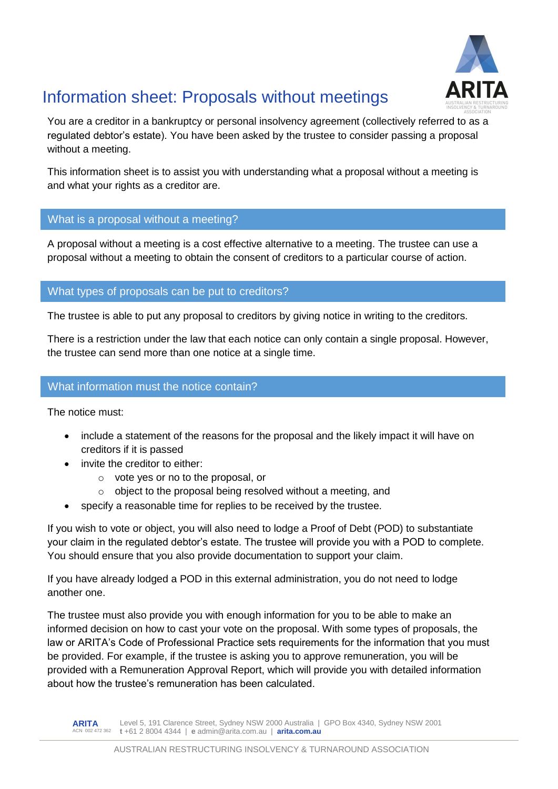

# Information sheet: Proposals without meetings

You are a creditor in a bankruptcy or personal insolvency agreement (collectively referred to as a regulated debtor's estate). You have been asked by the trustee to consider passing a proposal without a meeting.

This information sheet is to assist you with understanding what a proposal without a meeting is and what your rights as a creditor are.

# What is a proposal without a meeting?

A proposal without a meeting is a cost effective alternative to a meeting. The trustee can use a proposal without a meeting to obtain the consent of creditors to a particular course of action.

What types of proposals can be put to creditors?

The trustee is able to put any proposal to creditors by giving notice in writing to the creditors.

There is a restriction under the law that each notice can only contain a single proposal. However, the trustee can send more than one notice at a single time.

# What information must the notice contain?

The notice must:

- include a statement of the reasons for the proposal and the likely impact it will have on creditors if it is passed
- invite the creditor to either:
	- o vote yes or no to the proposal, or
	- o object to the proposal being resolved without a meeting, and
- specify a reasonable time for replies to be received by the trustee.

If you wish to vote or object, you will also need to lodge a Proof of Debt (POD) to substantiate your claim in the regulated debtor's estate. The trustee will provide you with a POD to complete. You should ensure that you also provide documentation to support your claim.

If you have already lodged a POD in this external administration, you do not need to lodge another one.

The trustee must also provide you with enough information for you to be able to make an informed decision on how to cast your vote on the proposal. With some types of proposals, the law or ARITA's Code of Professional Practice sets requirements for the information that you must be provided. For example, if the trustee is asking you to approve remuneration, you will be provided with a Remuneration Approval Report, which will provide you with detailed information about how the trustee's remuneration has been calculated.

**ARITA** ACN 002 472 362 **t** +61 2 8004 4344 | **e** admin@arita.com.au | **arita.com.au** Level 5, 191 Clarence Street, Sydney NSW 2000 Australia | GPO Box 4340, Sydney NSW 2001